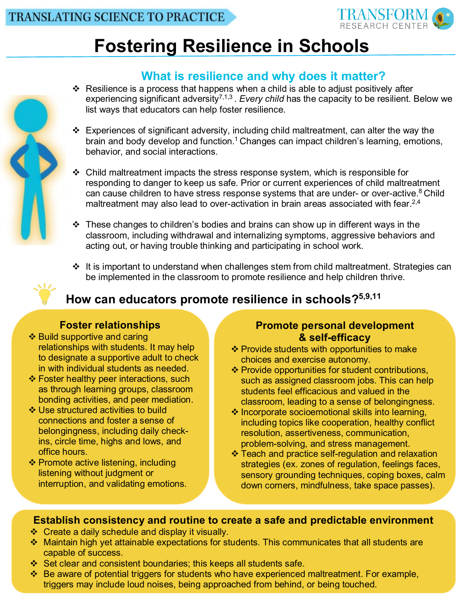

# **Fostering Resilience in Schools**

## **What is resilience and why does it matter?**

- Resilience is a process that happens when a child is able to adjust positively after experiencing significant adversity<sup>7,1,3</sup>. *Every child* has the capacity to be resilient. Below we list ways that educators can help foster resilience.
- $\div$  Experiences of significant adversity, including child maltreatment, can alter the way the brain and body develop and function.<sup>1</sup> Changes can impact children's learning, emotions, behavior, and social interactions.
- $\div$  Child maltreatment impacts the stress response system, which is responsible for responding to danger to keep us safe. Prior or current experiences of child maltreatment can cause children to have stress response systems that are under- or over-active.<sup>8</sup> Child maltreatment may also lead to over-activation in brain areas associated with fear.<sup>2,4</sup>
- $\cdot$  These changes to children's bodies and brains can show up in different ways in the classroom, including withdrawal and internalizing symptoms, aggressive behaviors and acting out, or having trouble thinking and participating in school work.
- $\cdot$  It is important to understand when challenges stem from child maltreatment. Strategies can be implemented in the classroom to promote resilience and help children thrive.



## **How can educators promote resilience in schools?5,9,11**

#### **Foster relationships**

- ❖ Build supportive and caring relationships with students. It may help to designate a supportive adult to check in with individual students as needed.
- ❖ Foster healthy peer interactions, such as through learning groups, classroom [bond](https://creativecommons.org/licenses/by-sa/3.0/)ing activities, and peer mediation.
- Use structured activities to build connections and foster a sense of belongingness, including daily checkins, circle time, highs and lows, and office hours.
- ❖ Promote active listening, including listening without judgment or interruption, and validating emotions.

#### **Promote personal development & self-efficacy**

- ❖ Provide students with opportunities to make choices and exercise autonomy.
- ❖ Provide opportunities for student contributions, such as assigned classroom jobs. This can help students feel efficacious and valued in the classroom, leading to a sense of belongingness.
- $\cdot$  Incorporate socioemotional skills into learning, including topics like cooperation, healthy conflict resolution, assertiveness, communication, problem-solving, and stress management.
- Teach and practice self-regulation and relaxation strategies (ex. zones of regulation, feelings faces, sensory grounding techniques, coping boxes, calm down corners, mindfulness, take space passes).

### **Establish consistency and routine to create a safe and predictable environment**

- Create a daily schedule and display it visually.
- Maintain high yet attainable expectations for students. This communicates that all students are capable of success.
- Set clear and consistent boundaries; this keeps all students safe.
- Be aware of potential triggers for students who have experienced maltreatment. For example, triggers may include loud noises, being approached from behind, or being touched.